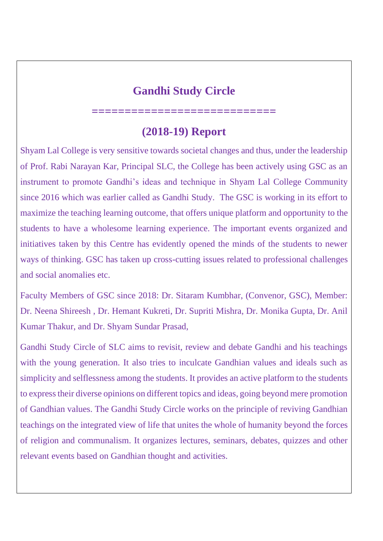## **Gandhi Study Circle**

## **(2018-19) Report**

**============================**

Shyam Lal College is very sensitive towards societal changes and thus, under the leadership of Prof. Rabi Narayan Kar, Principal SLC, the College has been actively using GSC as an instrument to promote Gandhi's ideas and technique in Shyam Lal College Community since 2016 which was earlier called as Gandhi Study. The GSC is working in its effort to maximize the teaching learning outcome, that offers unique platform and opportunity to the students to have a wholesome learning experience. The important events organized and initiatives taken by this Centre has evidently opened the minds of the students to newer ways of thinking. GSC has taken up cross-cutting issues related to professional challenges and social anomalies etc.

Faculty Members of GSC since 2018: Dr. Sitaram Kumbhar, (Convenor, GSC), Member: Dr. Neena Shireesh , Dr. Hemant Kukreti, Dr. Supriti Mishra, Dr. Monika Gupta, Dr. Anil Kumar Thakur, and Dr. Shyam Sundar Prasad,

Gandhi Study Circle of SLC aims to revisit, review and debate Gandhi and his teachings with the young generation. It also tries to inculcate Gandhian values and ideals such as simplicity and selflessness among the students. It provides an active platform to the students to express their diverse opinions on different topics and ideas, going beyond mere promotion of Gandhian values. The Gandhi Study Circle works on the principle of reviving Gandhian teachings on the integrated view of life that unites the whole of humanity beyond the forces of religion and communalism. It organizes lectures, seminars, debates, quizzes and other relevant events based on Gandhian thought and activities.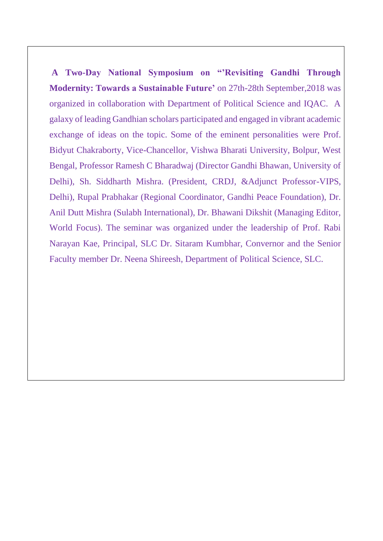**A Two-Day National Symposium on "'Revisiting Gandhi Through Modernity: Towards a Sustainable Future'** on 27th-28th September,2018 was organized in collaboration with Department of Political Science and IQAC. A galaxy of leading Gandhian scholars participated and engaged in vibrant academic exchange of ideas on the topic. Some of the eminent personalities were Prof. Bidyut Chakraborty, Vice-Chancellor, Vishwa Bharati University, Bolpur, West Bengal, Professor Ramesh C Bharadwaj (Director Gandhi Bhawan, University of Delhi), Sh. Siddharth Mishra. (President, CRDJ, &Adjunct Professor-VIPS, Delhi), Rupal Prabhakar (Regional Coordinator, Gandhi Peace Foundation), Dr. Anil Dutt Mishra (Sulabh International), Dr. Bhawani Dikshit (Managing Editor, World Focus). The seminar was organized under the leadership of Prof. Rabi Narayan Kae, Principal, SLC Dr. Sitaram Kumbhar, Convernor and the Senior Faculty member Dr. Neena Shireesh, Department of Political Science, SLC.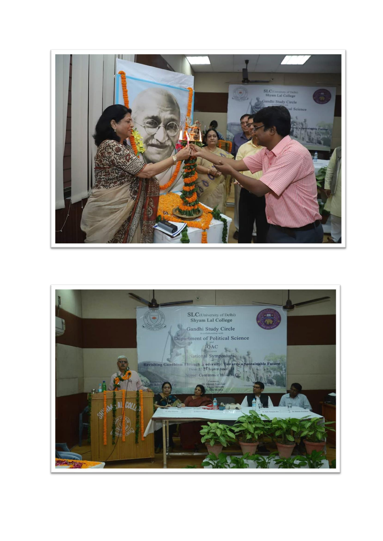

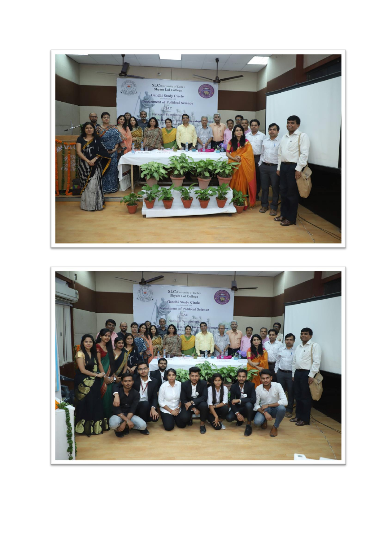